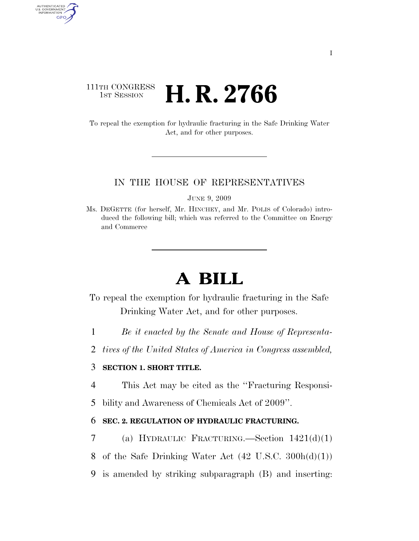## 111TH CONGRESS **HE CONGRESS H. R. 2766**

AUTHENTICATED<br>U.S. GOVERNMENT<br>INFORMATION GPO

> To repeal the exemption for hydraulic fracturing in the Safe Drinking Water Act, and for other purposes.

#### IN THE HOUSE OF REPRESENTATIVES

JUNE 9, 2009

# **A BILL**

To repeal the exemption for hydraulic fracturing in the Safe Drinking Water Act, and for other purposes.

1 *Be it enacted by the Senate and House of Representa-*

2 *tives of the United States of America in Congress assembled,* 

### 3 **SECTION 1. SHORT TITLE.**

4 This Act may be cited as the ''Fracturing Responsi-

5 bility and Awareness of Chemicals Act of 2009''.

### 6 **SEC. 2. REGULATION OF HYDRAULIC FRACTURING.**

7 (a) HYDRAULIC FRACTURING.—Section 1421(d)(1)

8 of the Safe Drinking Water Act  $(42 \text{ U.S.C. } 300h(d)(1))$ 

9 is amended by striking subparagraph (B) and inserting:

Ms. DEGETTE (for herself, Mr. HINCHEY, and Mr. POLIS of Colorado) introduced the following bill; which was referred to the Committee on Energy and Commerce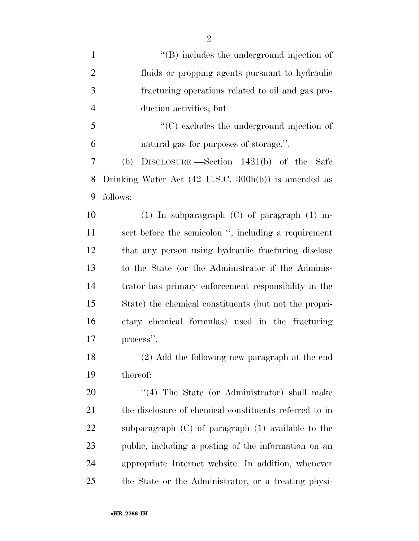| $\mathbf{1}$   | $\lq\lq$ (B) includes the underground injection of     |
|----------------|--------------------------------------------------------|
| $\mathfrak{2}$ | fluids or propping agents pursuant to hydraulic        |
| 3              | fracturing operations related to oil and gas pro-      |
| $\overline{4}$ | duction activities; but                                |
| 5              | $\cdot$ (C) excludes the underground injection of      |
| 6              | natural gas for purposes of storage.".                 |
| 7              | DISCLOSURE.—Section $1421(b)$ of the<br>(b)<br>Safe    |
| 8              | Drinking Water Act (42 U.S.C. 300h(b)) is amended as   |
| 9              | follows:                                               |
| 10             | $(1)$ In subparagraph $(C)$ of paragraph $(1)$ in-     |
| 11             | sert before the semicolon ", including a requirement   |
| 12             | that any person using hydraulic fracturing disclose    |
| 13             | to the State (or the Administrator if the Adminis-     |
| 14             | trator has primary enforcement responsibility in the   |
| 15             | State) the chemical constituents (but not the propri-  |
| 16             | etary chemical formulas) used in the fracturing        |
| 17             | process".                                              |
| 18             | (2) Add the following new paragraph at the end         |
| 19             | thereof:                                               |
| 20             | "(4) The State (or Administrator) shall make           |
| 21             | the disclosure of chemical constituents referred to in |
| 22             | subparagraph $(C)$ of paragraph $(1)$ available to the |
| 23             | public, including a posting of the information on an   |
| 24             | appropriate Internet website. In addition, whenever    |
| 25             | the State or the Administrator, or a treating physi-   |